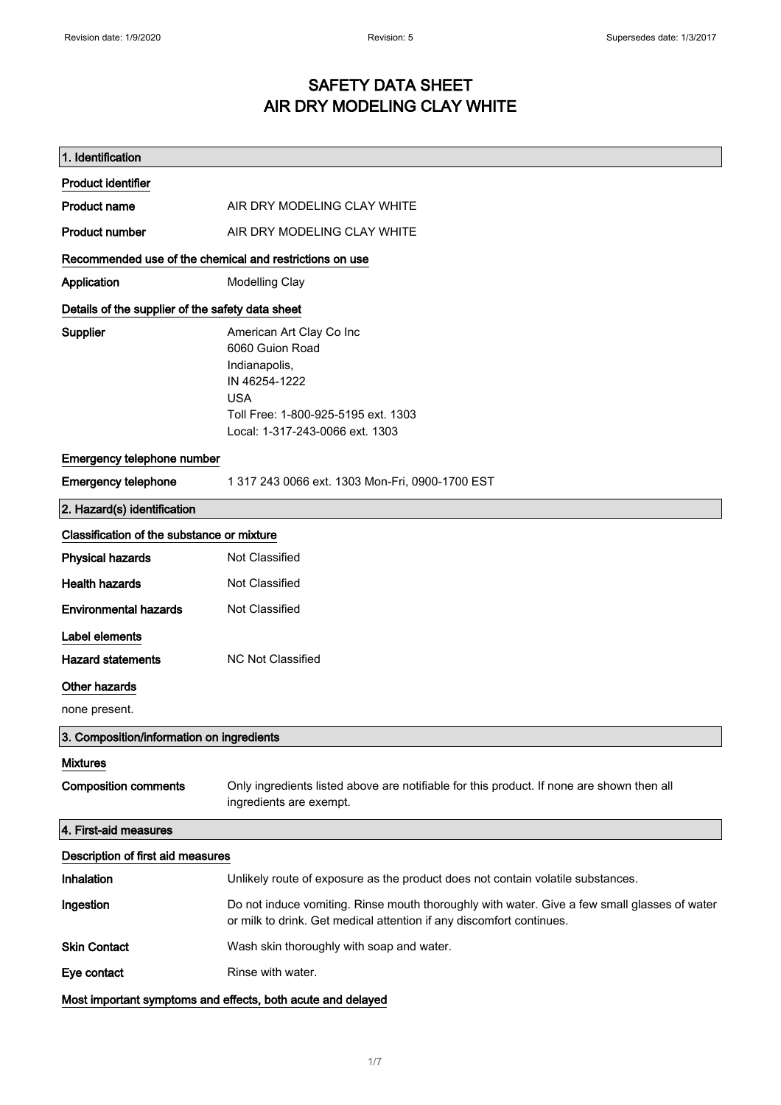# SAFETY DATA SHEET AIR DRY MODELING CLAY WHITE

| 1. Identification                                           |                                                                                                                                                                       |
|-------------------------------------------------------------|-----------------------------------------------------------------------------------------------------------------------------------------------------------------------|
| <b>Product identifier</b>                                   |                                                                                                                                                                       |
| <b>Product name</b>                                         | AIR DRY MODELING CLAY WHITE                                                                                                                                           |
| <b>Product number</b>                                       | AIR DRY MODELING CLAY WHITE                                                                                                                                           |
| Recommended use of the chemical and restrictions on use     |                                                                                                                                                                       |
| Application                                                 | <b>Modelling Clay</b>                                                                                                                                                 |
| Details of the supplier of the safety data sheet            |                                                                                                                                                                       |
| Supplier                                                    | American Art Clay Co Inc<br>6060 Guion Road<br>Indianapolis,<br>IN 46254-1222<br><b>USA</b><br>Toll Free: 1-800-925-5195 ext. 1303<br>Local: 1-317-243-0066 ext. 1303 |
| Emergency telephone number                                  |                                                                                                                                                                       |
| <b>Emergency telephone</b>                                  | 1 317 243 0066 ext. 1303 Mon-Fri, 0900-1700 EST                                                                                                                       |
| 2. Hazard(s) identification                                 |                                                                                                                                                                       |
| Classification of the substance or mixture                  |                                                                                                                                                                       |
| <b>Physical hazards</b>                                     | Not Classified                                                                                                                                                        |
| <b>Health hazards</b>                                       | Not Classified                                                                                                                                                        |
| <b>Environmental hazards</b>                                | Not Classified                                                                                                                                                        |
| Label elements                                              |                                                                                                                                                                       |
| <b>Hazard statements</b>                                    | <b>NC Not Classified</b>                                                                                                                                              |
| Other hazards                                               |                                                                                                                                                                       |
| none present.                                               |                                                                                                                                                                       |
| 3. Composition/information on ingredients                   |                                                                                                                                                                       |
| <b>Mixtures</b>                                             |                                                                                                                                                                       |
| <b>Composition comments</b>                                 | Only ingredients listed above are notifiable for this product. If none are shown then all<br>ingredients are exempt.                                                  |
| 4. First-aid measures                                       |                                                                                                                                                                       |
| Description of first aid measures                           |                                                                                                                                                                       |
| Inhalation                                                  | Unlikely route of exposure as the product does not contain volatile substances.                                                                                       |
| Ingestion                                                   | Do not induce vomiting. Rinse mouth thoroughly with water. Give a few small glasses of water<br>or milk to drink. Get medical attention if any discomfort continues.  |
| <b>Skin Contact</b>                                         | Wash skin thoroughly with soap and water.                                                                                                                             |
| Eye contact                                                 | Rinse with water.                                                                                                                                                     |
| Most important symptoms and effects, both acute and delayed |                                                                                                                                                                       |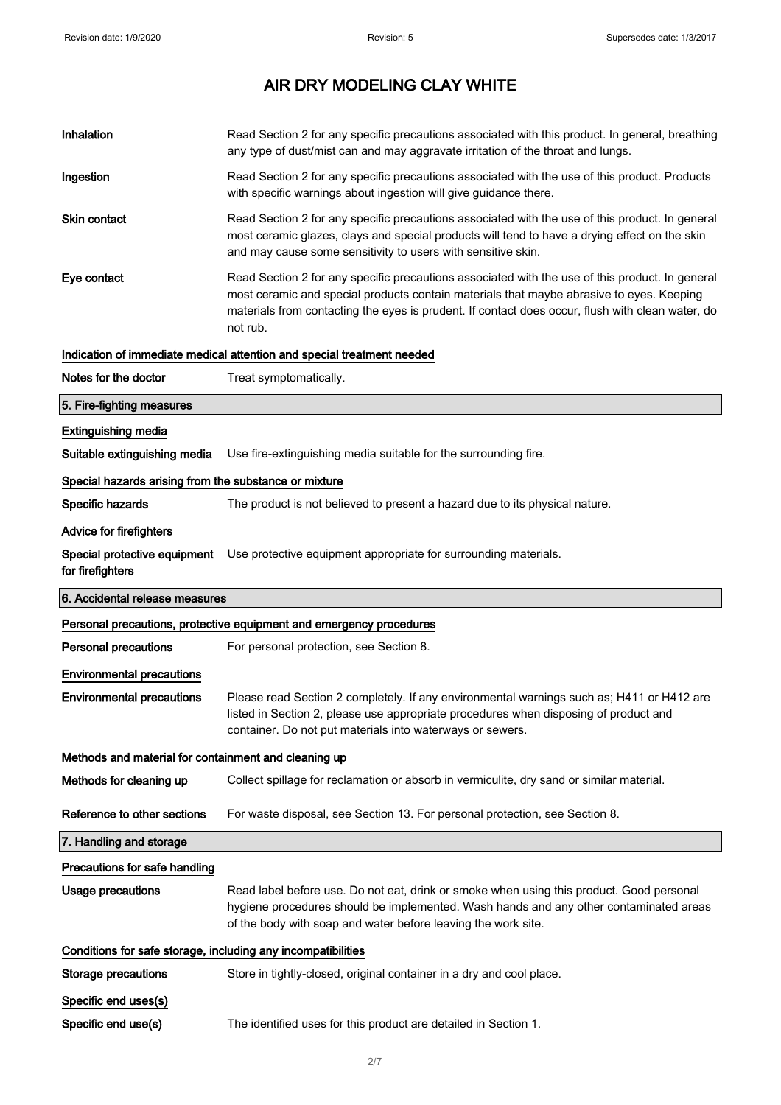| Inhalation                                                   | Read Section 2 for any specific precautions associated with this product. In general, breathing<br>any type of dust/mist can and may aggravate irritation of the throat and lungs.                                                                                                                          |  |
|--------------------------------------------------------------|-------------------------------------------------------------------------------------------------------------------------------------------------------------------------------------------------------------------------------------------------------------------------------------------------------------|--|
| Ingestion                                                    | Read Section 2 for any specific precautions associated with the use of this product. Products<br>with specific warnings about ingestion will give guidance there.                                                                                                                                           |  |
| <b>Skin contact</b>                                          | Read Section 2 for any specific precautions associated with the use of this product. In general<br>most ceramic glazes, clays and special products will tend to have a drying effect on the skin<br>and may cause some sensitivity to users with sensitive skin.                                            |  |
| Eye contact                                                  | Read Section 2 for any specific precautions associated with the use of this product. In general<br>most ceramic and special products contain materials that maybe abrasive to eyes. Keeping<br>materials from contacting the eyes is prudent. If contact does occur, flush with clean water, do<br>not rub. |  |
|                                                              | Indication of immediate medical attention and special treatment needed                                                                                                                                                                                                                                      |  |
| Notes for the doctor                                         | Treat symptomatically.                                                                                                                                                                                                                                                                                      |  |
| 5. Fire-fighting measures                                    |                                                                                                                                                                                                                                                                                                             |  |
| <b>Extinguishing media</b>                                   |                                                                                                                                                                                                                                                                                                             |  |
| Suitable extinguishing media                                 | Use fire-extinguishing media suitable for the surrounding fire.                                                                                                                                                                                                                                             |  |
| Special hazards arising from the substance or mixture        |                                                                                                                                                                                                                                                                                                             |  |
| Specific hazards                                             | The product is not believed to present a hazard due to its physical nature.                                                                                                                                                                                                                                 |  |
| Advice for firefighters                                      |                                                                                                                                                                                                                                                                                                             |  |
| for firefighters                                             | Special protective equipment Use protective equipment appropriate for surrounding materials.                                                                                                                                                                                                                |  |
| 6. Accidental release measures                               |                                                                                                                                                                                                                                                                                                             |  |
|                                                              |                                                                                                                                                                                                                                                                                                             |  |
|                                                              | Personal precautions, protective equipment and emergency procedures                                                                                                                                                                                                                                         |  |
| <b>Personal precautions</b>                                  | For personal protection, see Section 8.                                                                                                                                                                                                                                                                     |  |
| <b>Environmental precautions</b>                             |                                                                                                                                                                                                                                                                                                             |  |
| <b>Environmental precautions</b>                             | Please read Section 2 completely. If any environmental warnings such as; H411 or H412 are<br>listed in Section 2, please use appropriate procedures when disposing of product and<br>container. Do not put materials into waterways or sewers.                                                              |  |
| Methods and material for containment and cleaning up         |                                                                                                                                                                                                                                                                                                             |  |
| Methods for cleaning up                                      | Collect spillage for reclamation or absorb in vermiculite, dry sand or similar material.                                                                                                                                                                                                                    |  |
| Reference to other sections                                  | For waste disposal, see Section 13. For personal protection, see Section 8.                                                                                                                                                                                                                                 |  |
| 7. Handling and storage                                      |                                                                                                                                                                                                                                                                                                             |  |
| Precautions for safe handling                                |                                                                                                                                                                                                                                                                                                             |  |
| <b>Usage precautions</b>                                     | Read label before use. Do not eat, drink or smoke when using this product. Good personal<br>hygiene procedures should be implemented. Wash hands and any other contaminated areas<br>of the body with soap and water before leaving the work site.                                                          |  |
| Conditions for safe storage, including any incompatibilities |                                                                                                                                                                                                                                                                                                             |  |
| <b>Storage precautions</b>                                   | Store in tightly-closed, original container in a dry and cool place.                                                                                                                                                                                                                                        |  |
| Specific end uses(s)                                         |                                                                                                                                                                                                                                                                                                             |  |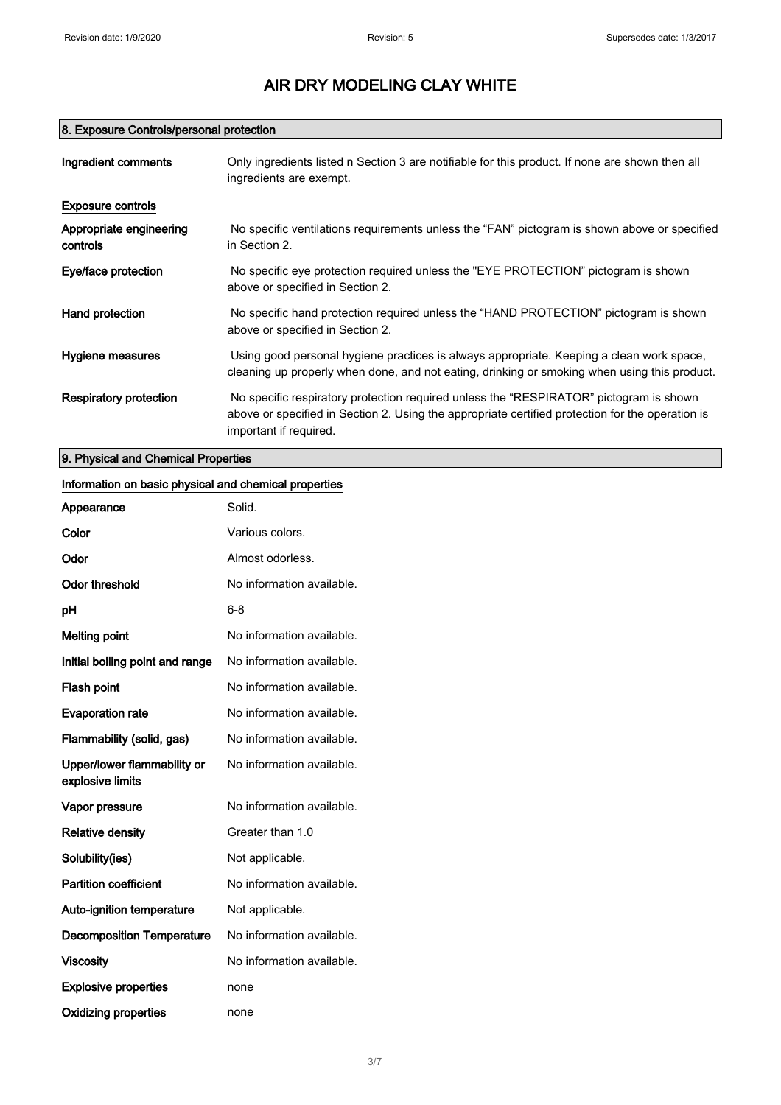# 8. Exposure Controls/personal protection

| Ingredient comments                 | Only ingredients listed n Section 3 are notifiable for this product. If none are shown then all<br>ingredients are exempt.                                                                                           |
|-------------------------------------|----------------------------------------------------------------------------------------------------------------------------------------------------------------------------------------------------------------------|
| <b>Exposure controls</b>            |                                                                                                                                                                                                                      |
| Appropriate engineering<br>controls | No specific ventilations requirements unless the "FAN" pictogram is shown above or specified<br>in Section 2.                                                                                                        |
| Eye/face protection                 | No specific eye protection required unless the "EYE PROTECTION" pictogram is shown<br>above or specified in Section 2.                                                                                               |
| Hand protection                     | No specific hand protection required unless the "HAND PROTECTION" pictogram is shown<br>above or specified in Section 2.                                                                                             |
| Hygiene measures                    | Using good personal hygiene practices is always appropriate. Keeping a clean work space,<br>cleaning up properly when done, and not eating, drinking or smoking when using this product.                             |
| Respiratory protection              | No specific respiratory protection required unless the "RESPIRATOR" pictogram is shown<br>above or specified in Section 2. Using the appropriate certified protection for the operation is<br>important if required. |

# 9. Physical and Chemical Properties

# Information on basic physical and chemical properties

| Appearance                                      | Solid.                    |
|-------------------------------------------------|---------------------------|
| Color                                           | Various colors.           |
| Odor                                            | Almost odorless.          |
| <b>Odor threshold</b>                           | No information available. |
| рH                                              | $6 - 8$                   |
| <b>Melting point</b>                            | No information available. |
| Initial boiling point and range                 | No information available. |
| <b>Flash point</b>                              | No information available. |
| <b>Evaporation rate</b>                         | No information available. |
| Flammability (solid, gas)                       | No information available. |
| Upper/lower flammability or<br>explosive limits | No information available. |
| Vapor pressure                                  | No information available. |
| <b>Relative density</b>                         | Greater than 1.0          |
| Solubility(ies)                                 | Not applicable.           |
| <b>Partition coefficient</b>                    | No information available. |
| Auto-ignition temperature                       | Not applicable.           |
| <b>Decomposition Temperature</b>                | No information available. |
| <b>Viscosity</b>                                | No information available. |
| <b>Explosive properties</b>                     | none                      |
| <b>Oxidizing properties</b>                     | none                      |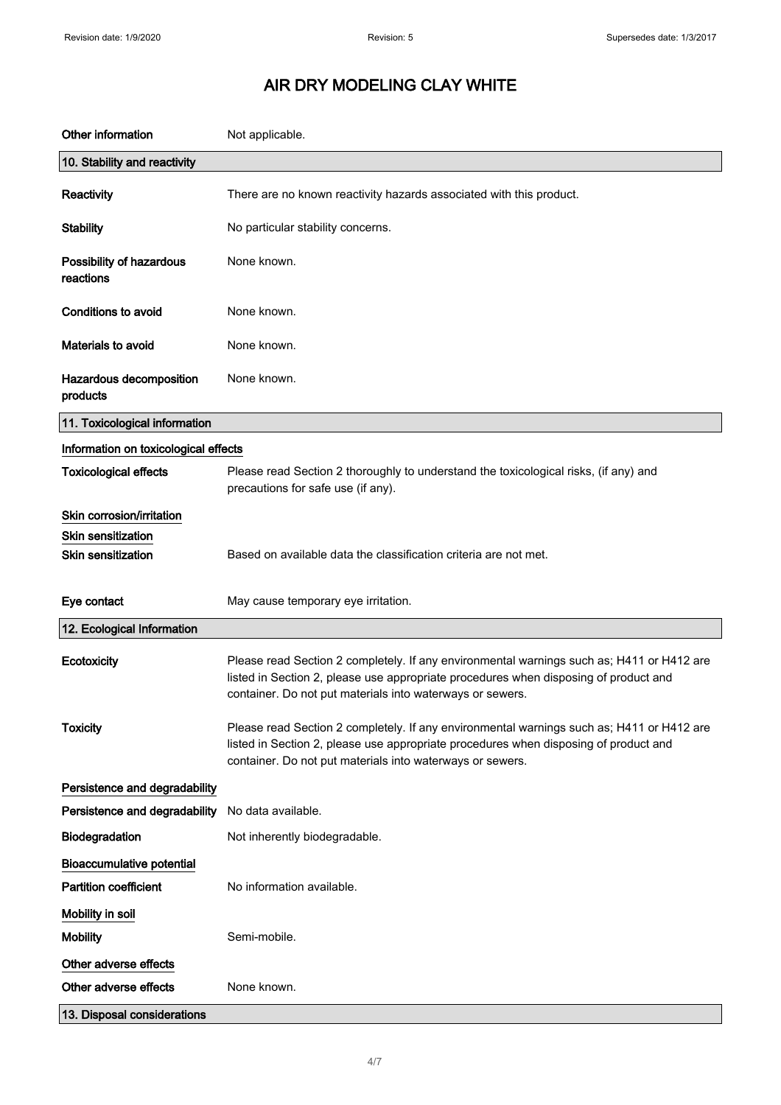| Other information                     | Not applicable.                                                                                                                                                                                                                                |
|---------------------------------------|------------------------------------------------------------------------------------------------------------------------------------------------------------------------------------------------------------------------------------------------|
| 10. Stability and reactivity          |                                                                                                                                                                                                                                                |
| Reactivity                            | There are no known reactivity hazards associated with this product.                                                                                                                                                                            |
| <b>Stability</b>                      | No particular stability concerns.                                                                                                                                                                                                              |
| Possibility of hazardous<br>reactions | None known.                                                                                                                                                                                                                                    |
| Conditions to avoid                   | None known.                                                                                                                                                                                                                                    |
| Materials to avoid                    | None known.                                                                                                                                                                                                                                    |
| Hazardous decomposition<br>products   | None known.                                                                                                                                                                                                                                    |
| 11. Toxicological information         |                                                                                                                                                                                                                                                |
| Information on toxicological effects  |                                                                                                                                                                                                                                                |
| <b>Toxicological effects</b>          | Please read Section 2 thoroughly to understand the toxicological risks, (if any) and<br>precautions for safe use (if any).                                                                                                                     |
| Skin corrosion/irritation             |                                                                                                                                                                                                                                                |
| <b>Skin sensitization</b>             |                                                                                                                                                                                                                                                |
| <b>Skin sensitization</b>             | Based on available data the classification criteria are not met.                                                                                                                                                                               |
| Eye contact                           | May cause temporary eye irritation.                                                                                                                                                                                                            |
| 12. Ecological Information            |                                                                                                                                                                                                                                                |
| Ecotoxicity                           | Please read Section 2 completely. If any environmental warnings such as; H411 or H412 are<br>listed in Section 2, please use appropriate procedures when disposing of product and<br>container. Do not put materials into waterways or sewers. |
| <b>Toxicity</b>                       | Please read Section 2 completely. If any environmental warnings such as; H411 or H412 are<br>listed in Section 2, please use appropriate procedures when disposing of product and<br>container. Do not put materials into waterways or sewers. |
| Persistence and degradability         |                                                                                                                                                                                                                                                |
| Persistence and degradability         | No data available.                                                                                                                                                                                                                             |
| Biodegradation                        | Not inherently biodegradable.                                                                                                                                                                                                                  |
| <b>Bioaccumulative potential</b>      |                                                                                                                                                                                                                                                |
| <b>Partition coefficient</b>          | No information available.                                                                                                                                                                                                                      |
| Mobility in soil                      |                                                                                                                                                                                                                                                |
| <b>Mobility</b>                       | Semi-mobile.                                                                                                                                                                                                                                   |
| Other adverse effects                 |                                                                                                                                                                                                                                                |
| Other adverse effects                 | None known.                                                                                                                                                                                                                                    |
|                                       |                                                                                                                                                                                                                                                |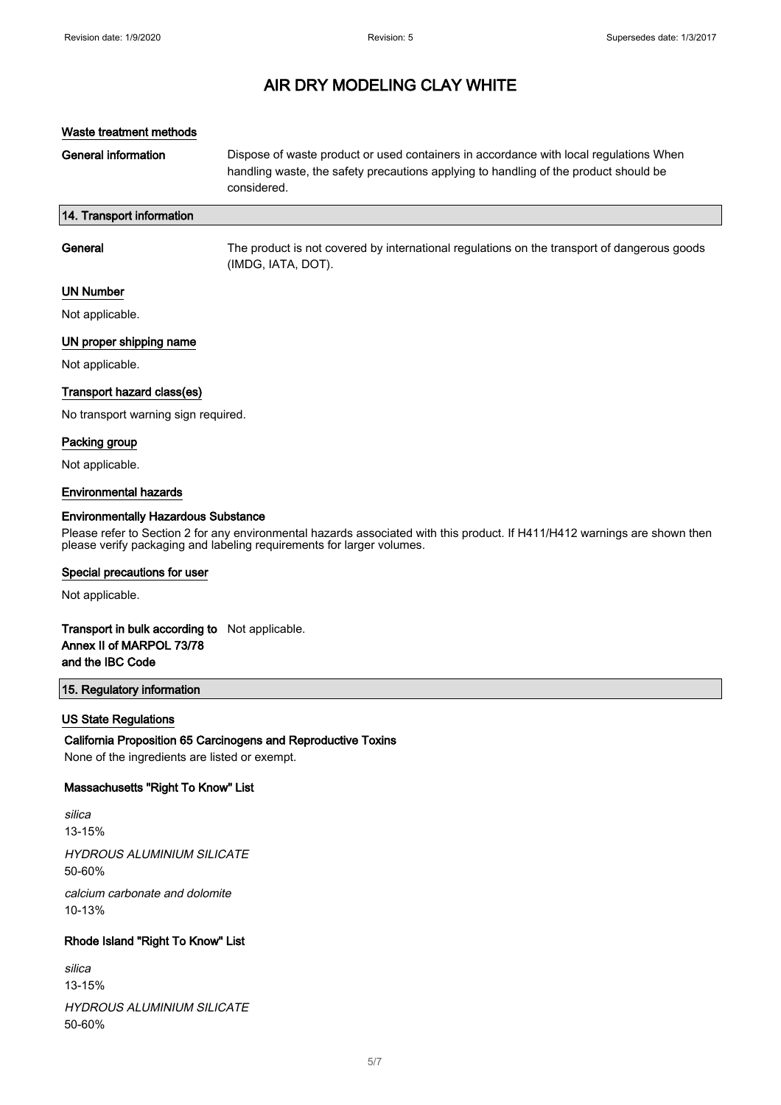#### Waste treatment methods

General information **Dispose of waste product or used containers in accordance with local regulations When** handling waste, the safety precautions applying to handling of the product should be considered.

#### 14. Transport information

| General   | The product is not covered by international regulations on the transport of dangerous goods<br>(IMDG, IATA, DOT). |
|-----------|-------------------------------------------------------------------------------------------------------------------|
| UN Numher |                                                                                                                   |

# UN Number

Not applicable.

### UN proper shipping name

Not applicable.

#### Transport hazard class(es)

No transport warning sign required.

#### Packing group

Not applicable.

#### Environmental hazards

#### Environmentally Hazardous Substance

Please refer to Section 2 for any environmental hazards associated with this product. If H411/H412 warnings are shown then please verify packaging and labeling requirements for larger volumes.

#### Special precautions for user

Not applicable.

### Transport in bulk according to Not applicable. Annex II of MARPOL 73/78 and the IBC Code

### 15. Regulatory information

#### US State Regulations

#### California Proposition 65 Carcinogens and Reproductive Toxins

None of the ingredients are listed or exempt.

#### Massachusetts "Right To Know" List

silica 13-15% HYDROUS ALUMINIUM SILICATE 50-60% calcium carbonate and dolomite 10-13%

## Rhode Island "Right To Know" List

| silica                     |
|----------------------------|
| 13-15%                     |
| HYDROUS ALUMINIUM SILICATE |
| 50-60%                     |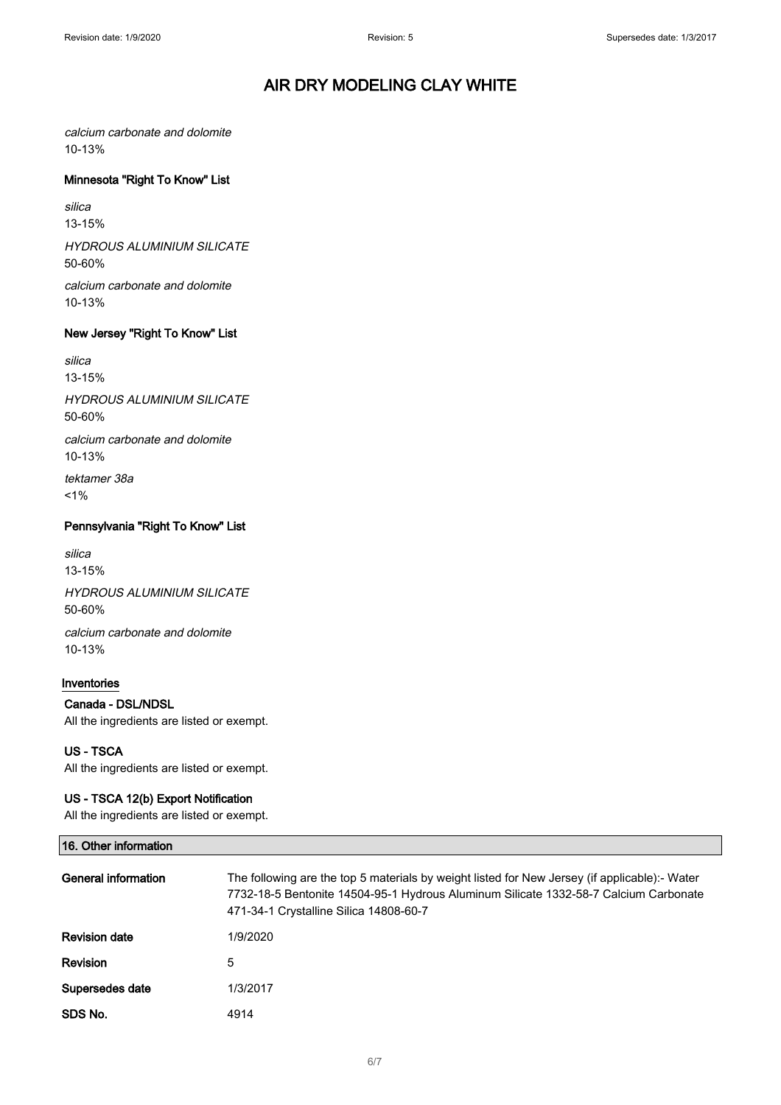calcium carbonate and dolomite 10-13%

### Minnesota "Right To Know" List

silica 13-15%

HYDROUS ALUMINIUM SILICATE 50-60%

calcium carbonate and dolomite 10-13%

## New Jersey "Right To Know" List

silica 13-15%

HYDROUS ALUMINIUM SILICATE 50-60%

calcium carbonate and dolomite 10-13%

tektamer 38a  $1%$ 

## Pennsylvania "Right To Know" List

silica 13-15%

HYDROUS ALUMINIUM SILICATE 50-60% calcium carbonate and dolomite 10-13%

## Inventories

Canada - DSL/NDSL All the ingredients are listed or exempt.

US - TSCA All the ingredients are listed or exempt.

### US - TSCA 12(b) Export Notification

All the ingredients are listed or exempt.

| 16. Other information |                                                                                                                                                                                                                                 |
|-----------------------|---------------------------------------------------------------------------------------------------------------------------------------------------------------------------------------------------------------------------------|
| General information   | The following are the top 5 materials by weight listed for New Jersey (if applicable):- Water<br>7732-18-5 Bentonite 14504-95-1 Hydrous Aluminum Silicate 1332-58-7 Calcium Carbonate<br>471-34-1 Crystalline Silica 14808-60-7 |
| <b>Revision date</b>  | 1/9/2020                                                                                                                                                                                                                        |
| <b>Revision</b>       | 5                                                                                                                                                                                                                               |
| Supersedes date       | 1/3/2017                                                                                                                                                                                                                        |
| SDS No.               | 4914                                                                                                                                                                                                                            |